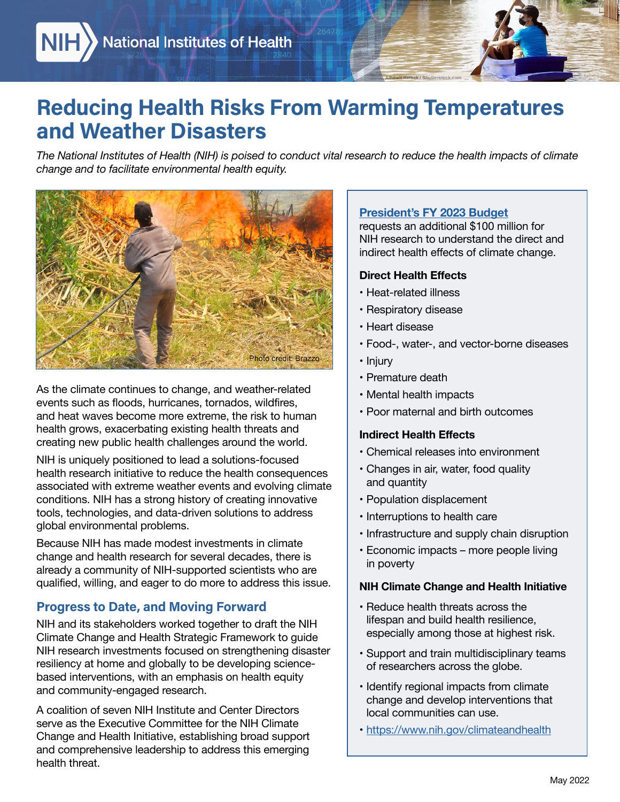## Reducing Health Risks From Warming Temperatures and Weather Disasters

*The National Institutes of Health (NIH) is poised to conduct vital research to reduce the health impacts of climate change and to facilitate environmental health equity.* 



creating new public health challenges around the world. As the climate continues to change, and weather-related events such as floods, hurricanes, tornados, wildfires, and heat waves become more extreme, the risk to human health grows, exacerbating existing health threats and

 associated with extreme weather events and evolving climate NIH is uniquely positioned to lead a solutions-focused health research initiative to reduce the health consequences conditions. NIH has a strong history of creating innovative tools, technologies, and data-driven solutions to address global environmental problems.

Because NIH has made modest investments in climate change and health research for several decades, there is already a community of NIH-supported scientists who are qualified, willing, and eager to do more to address this issue.

#### Progress to Date, and Moving Forward

NIH and its stakeholders worked together to draft the NIH Climate Change and Health Strategic Framework to guide NIH research investments focused on strengthening disaster resiliency at home and globally to be developing sciencebased interventions, with an emphasis on health equity and community-engaged research.

A coalition of seven NIH Institute and Center Directors serve as the Executive Committee for the NIH Climate Change and Health Initiative, establishing broad support and comprehensive leadership to address this emerging health threat.

### **President's FY 2023 Budget**

requests an additional \$100 million for NIH research to understand the direct and indirect health effects of climate change.

#### **Direct Health Effects**

- • Heat-related illness
- • Respiratory disease
- • Heart disease
- • Food-, water-, and vector-borne diseases
- • Injury
- • Premature death
- • Mental health impacts
- • Poor maternal and birth outcomes

#### **Indirect Health Effects**

- • Chemical releases into environment
- Changes in air, water, food quality and quantity
- Population displacement
- • Interruptions to health care
- • Infrastructure and supply chain disruption
- • Economic impacts more people living in poverty

#### **NIH Climate Change and Health Initiative**

- • Reduce health threats across the lifespan and build health resilience, especially among those at highest risk.
- • Support and train multidisciplinary teams of researchers across the globe.
- Identify regional impacts from climate change and develop interventions that local communities can use.
- • https://[www.nih.gov/climateandhealth](https://www.nih.gov/climateandhealth)